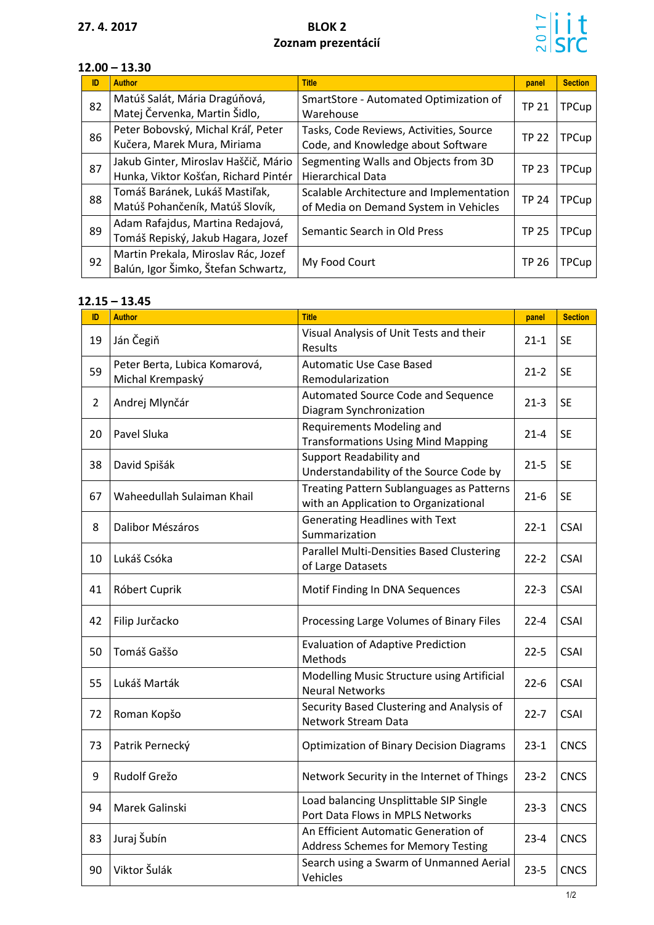## **27. 4. 2017 BLOK 2 Zoznam prezentácií**



## **12.00 – 13.30**

| ID | <b>Author</b>                                                                | <b>Title</b>                                                                      | panel        | <b>Section</b> |
|----|------------------------------------------------------------------------------|-----------------------------------------------------------------------------------|--------------|----------------|
| 82 | Matúš Salát, Mária Dragúňová,<br>Matej Červenka, Martin Šidlo,               | SmartStore - Automated Optimization of<br>Warehouse                               | <b>TP 21</b> | <b>TPCup</b>   |
| 86 | Peter Bobovský, Michal Kráľ, Peter<br>Kučera, Marek Mura, Miriama            | Tasks, Code Reviews, Activities, Source<br>Code, and Knowledge about Software     | <b>TP 22</b> | <b>TPCup</b>   |
| 87 | Jakub Ginter, Miroslav Haščič, Mário<br>Hunka, Viktor Košťan, Richard Pintér | Segmenting Walls and Objects from 3D<br><b>Hierarchical Data</b>                  | <b>TP 23</b> | <b>TPCup</b>   |
| 88 | Tomáš Baránek, Lukáš Mastiľak,<br>Matúš Pohančeník, Matúš Slovík,            | Scalable Architecture and Implementation<br>of Media on Demand System in Vehicles | <b>TP 24</b> | <b>TPCup</b>   |
| 89 | Adam Rafajdus, Martina Redajová,<br>Tomáš Repiský, Jakub Hagara, Jozef       | Semantic Search in Old Press                                                      | <b>TP 25</b> | <b>TPCup</b>   |
| 92 | Martin Prekala, Miroslav Rác, Jozef<br>Balún, Igor Šimko, Štefan Schwartz,   | My Food Court                                                                     | <b>TP 26</b> | <b>TPCup</b>   |

## **12.15 – 13.45**

| ID             | <b>Author</b>                                     | <b>Title</b>                                                                       | panel    | <b>Section</b> |
|----------------|---------------------------------------------------|------------------------------------------------------------------------------------|----------|----------------|
| 19             | Ján Čegiň                                         | Visual Analysis of Unit Tests and their<br>Results                                 | $21 - 1$ | <b>SE</b>      |
| 59             | Peter Berta, Lubica Komarová,<br>Michal Krempaský | <b>Automatic Use Case Based</b><br>Remodularization                                | $21 - 2$ | <b>SE</b>      |
| $\overline{2}$ | Andrej Mlynčár                                    | Automated Source Code and Sequence<br>Diagram Synchronization                      | $21-3$   | <b>SE</b>      |
| 20             | Pavel Sluka                                       | Requirements Modeling and<br><b>Transformations Using Mind Mapping</b>             | $21 - 4$ | <b>SE</b>      |
| 38             | David Spišák                                      | Support Readability and<br>Understandability of the Source Code by                 | $21 - 5$ | <b>SE</b>      |
| 67             | Waheedullah Sulaiman Khail                        | Treating Pattern Sublanguages as Patterns<br>with an Application to Organizational | $21-6$   | <b>SE</b>      |
| 8              | Dalibor Mészáros                                  | <b>Generating Headlines with Text</b><br>Summarization                             | $22 - 1$ | <b>CSAI</b>    |
| 10             | Lukáš Csóka                                       | Parallel Multi-Densities Based Clustering<br>of Large Datasets                     | $22 - 2$ | <b>CSAI</b>    |
| 41             | Róbert Cuprik                                     | Motif Finding In DNA Sequences                                                     | $22-3$   | <b>CSAI</b>    |
| 42             | Filip Jurčacko                                    | Processing Large Volumes of Binary Files                                           | $22 - 4$ | <b>CSAI</b>    |
| 50             | Tomáš Gaššo                                       | <b>Evaluation of Adaptive Prediction</b><br>Methods                                | $22 - 5$ | <b>CSAI</b>    |
| 55             | Lukáš Marták                                      | Modelling Music Structure using Artificial<br><b>Neural Networks</b>               | $22 - 6$ | <b>CSAI</b>    |
| 72             | Roman Kopšo                                       | Security Based Clustering and Analysis of<br>Network Stream Data                   | $22 - 7$ | <b>CSAI</b>    |
| 73             | Patrik Pernecký                                   | <b>Optimization of Binary Decision Diagrams</b>                                    | $23-1$   | <b>CNCS</b>    |
| 9              | Rudolf Grežo                                      | Network Security in the Internet of Things                                         | $23-2$   | <b>CNCS</b>    |
| 94             | Marek Galinski                                    | Load balancing Unsplittable SIP Single<br>Port Data Flows in MPLS Networks         | $23-3$   | <b>CNCS</b>    |
| 83             | Juraj Šubín                                       | An Efficient Automatic Generation of<br><b>Address Schemes for Memory Testing</b>  | $23 - 4$ | <b>CNCS</b>    |
| 90             | Viktor Šulák                                      | Search using a Swarm of Unmanned Aerial<br>Vehicles                                | $23 - 5$ | <b>CNCS</b>    |